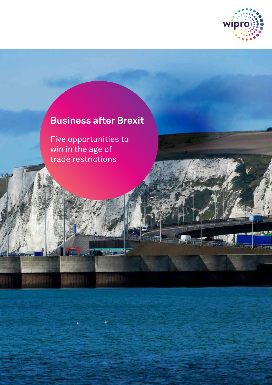

# **Business after Brexit**

mini

Five opportunities to win in the age of trade restrictions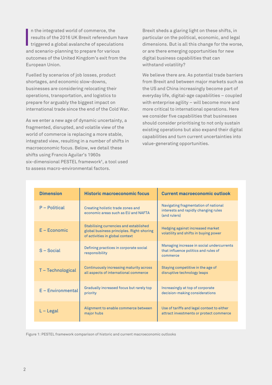n the integrated world of commerce, the results of the 2016 UK Brexit referendum have  $\blacksquare$  triggered a global avalanche of speculations and scenario-planning to prepare for various outcomes of the United Kingdom's exit from the European Union.

Fuelled by scenarios of job losses, product shortages, and economic slow-downs, businesses are considering relocating their operations, transportation, and logistics to prepare for arguably the biggest impact on international trade since the end of the Cold War.

As we enter a new age of dynamic uncertainty, a fragmented, disrupted, and volatile view of the world of commerce is replacing a more stable, integrated view, resulting in a number of shifts in macroeconomic focus. Below, we detail these shifts using Francis Aguilar's 1960s six-dimensional PESTEL framework<sup>1</sup>, a tool used to assess macro-environmental factors.

Brexit sheds a glaring light on these shifts, in particular on the political, economic, and legal dimensions. But is all this change for the worse, or are there emerging opportunities for new digital business capabilities that can withstand volatility?

We believe there are. As potential trade barriers from Brexit and between major markets such as the US and China increasingly become part of everyday life, digital-age capabilities – coupled with enterprise agility – will become more and more critical to international operations. Here we consider five capabilities that businesses should consider prioritising to not only sustain existing operations but also expand their digital capabilities and turn current uncertainties into value-generating opportunities.

| <b>Dimension</b>    | <b>Historic macroeconomic focus</b>                                                                                    | <b>Current macroeconomic outlook</b>                                                          |
|---------------------|------------------------------------------------------------------------------------------------------------------------|-----------------------------------------------------------------------------------------------|
| $P -$ Political     | Creating holistic trade zones and<br>economic areas such as EU and NAFTA                                               | Navigating fragmentation of national<br>interests and rapidly changing rules<br>(and rulers)  |
| $E - Economic$      | Stabilising currencies and established<br>global business principles. Right-shoring<br>of activities in global context | Hedging against increased market<br>volatility and shifts in buying power                     |
| $S - Social$        | Defining practices in corporate social<br>responsibility                                                               | Managing increase in social undercurrents<br>that influence politics and rules of<br>commerce |
| T - Technological   | Continuously increasing maturity across<br>all aspects of international commerce                                       | Staying competitive in the age of<br>disruptive technology leaps                              |
| $E$ – Environmental | Gradually increased focus but rarely top<br>priority                                                                   | Increasingly at top of corporate<br>decision-making considerations                            |
| $L -$ Legal         | Alignment to enable commerce between<br>major hubs                                                                     | Use of tariffs and legal context to either<br>attract investments or protect commerce         |

Figure 1: PESTEL framework comparison of historic and current macroeconomic outlooks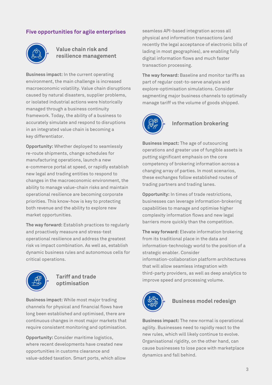### **Five opportunities for agile enterprises**



### **Value chain risk and resilience management**

**Business impact:** In the current operating environment, the main challenge is increased macroeconomic volatility. Value chain disruptions caused by natural disasters, supplier problems, or isolated industrial actions were historically managed through a business continuity framework. Today, the ability of a business to accurately simulate and respond to disruptions in an integrated value chain is becoming a key differentiator.

**Opportunity:** Whether deployed to seamlessly re-route shipments, change schedules for manufacturing operations, launch a new e-commerce portal at speed, or rapidly establish new legal and trading entities to respond to changes in the macroeconomic environment, the ability to manage value-chain risks and maintain operational resilience are becoming corporate priorities. This know-how is key to protecting both revenue and the ability to explore new market opportunities.

**The way forward:** Establish practices to regularly and proactively measure and stress-test operational resilience and address the greatest risk vs impact combination. As well as, establish dynamic business rules and autonomous cells for critical operations.



### **Tariff and trade optimisation**

**Business impact:** While most major trading channels for physical and financial flows have long been established and optimised, there are continuous changes in most major markets that require consistent monitoring and optimisation.

**Opportunity:** Consider maritime logistics, where recent developments have created new opportunities in customs clearance and value-added taxation. Smart ports, which allow seamless API-based integration across all physical and information transactions (and recently the legal acceptance of electronic bills of lading in most geographies), are enabling fully digital information flows and much faster transaction processing.

**The way forward:** Baseline and monitor tariffs as part of regular cost-to-serve analysis and explore-optimisation simulations. Consider segmenting major business channels to optimally manage tariff vs the volume of goods shipped.



### **Information brokering**

**Business impact:** The age of outsourcing operations and greater use of fungible assets is putting significant emphasis on the core competency of brokering information across a changing array of parties. In most scenarios, these exchanges follow established routes of trading partners and trading lanes.

**Opportunity:** In times of trade restrictions, businesses can leverage information-brokering capabilities to manage and optimise higher complexity information flows and new legal barriers more quickly than the competition.

**The way forward:** Elevate information brokering from its traditional place in the data and information-technology world to the position of a strategic enabler. Consider information-collaboration platform architectures that will allow seamless integration with third-party providers, as well as deep analytics to improve speed and processing volume.



## **Business model redesign**

**Business impact:** The new normal is operational agility. Businesses need to rapidly react to the new rules, which will likely continue to evolve. Organisational rigidity, on the other hand, can cause businesses to lose pace with marketplace dynamics and fall behind.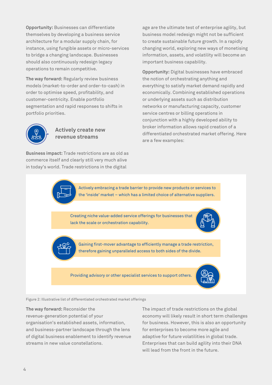**Opportunity:** Businesses can differentiate themselves by developing a business service architecture for a modular supply chain, for instance, using fungible assets or micro-services to bridge a changing landscape. Businesses should also continuously redesign legacy operations to remain competitive.

**The way forward:** Regularly review business models (market-to-order and order-to-cash) in order to optimise speed, profitability, and customer-centricity. Enable portfolio segmentation and rapid responses to shifts in portfolio priorities.



#### **Actively create new revenue streams**

**Business impact:** Trade restrictions are as old as commerce itself and clearly still very much alive in today's world. Trade restrictions in the digital

age are the ultimate test of enterprise agility, but business model redesign might not be sufficient to create sustainable future growth. In a rapidly changing world, exploring new ways of monetising information, assets, and volatility will become an important business capability.

**Opportunity:** Digital businesses have embraced the notion of orchestrating anything and everything to satisfy market demand rapidly and economically. Combining established operations or underlying assets such as distribution networks or manufacturing capacity, customer service centres or billing operations in conjunction with a highly developed ability to broker information allows rapid creation of a differentiated orchestrated market offering. Here are a few examples:

Actively embracing a trade barrier to provide new products or services to the 'inside' market – which has a limited choice of alternative suppliers.

Creating niche value-added service offerings for businesses that lack the scale or orchestration capability.





Gaining first-mover advantage to efficiently manage a trade restriction, therefore gaining unparalleled access to both sides of the divide.

Providing advisory or other specialist services to support others.



Figure 2: Illustrative list of differentiated orchestrated market offerings

**The way forward:** Reconsider the revenue-generation potential of your organisation's established assets, information, and business-partner landscape through the lens of digital business enablement to identify revenue streams in new value constellations.

The impact of trade restrictions on the global economy will likely result in short term challenges for business. However, this is also an opportunity for enterprises to become more agile and adaptive for future volatilities in global trade. Enterprises that can build agility into their DNA will lead from the front in the future.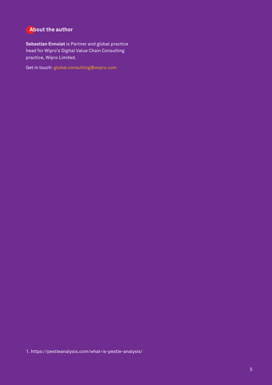### **About the author**

**Sebastian Ennulat** is Partner and global practice head for Wipro's Digital Value Chain Consulting practice, Wipro Limited.

Get in touch: global.consulting@wipro.com